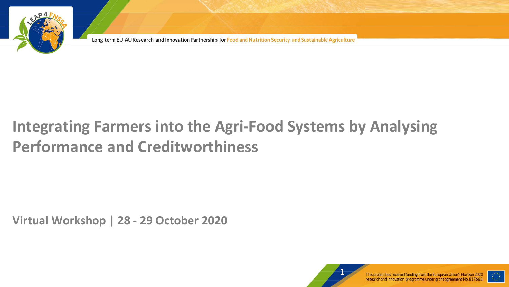

## **Integrating Farmers into the Agri-Food Systems by Analysing Performance and Creditworthiness**

**Virtual Workshop | 28 - 29 October 2020**



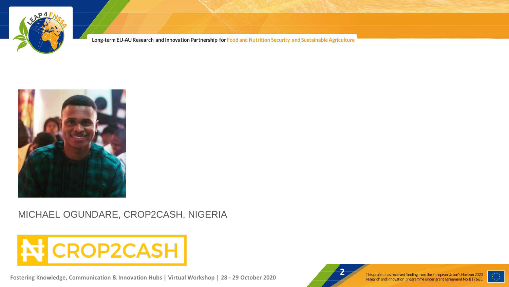



#### MICHAEL OGUNDARE, CROP2CASH, NIGERIA



Fostering Knowledge, Communication & Innovation Hubs | Virtual Workshop | 28 - 29 October 2020<br>This project has received funding from the European Union's Horizon 2020<br>This project has received funding from the European Un



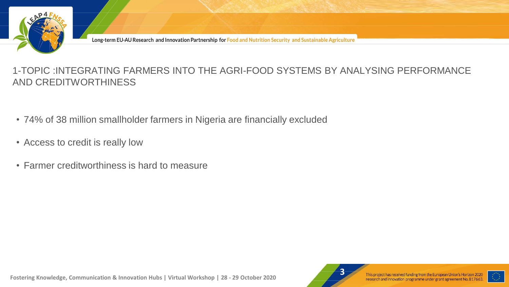

#### 1-TOPIC :INTEGRATING FARMERS INTO THE AGRI-FOOD SYSTEMS BY ANALYSING PERFORMANCE AND CREDITWORTHINESS

- 74% of 38 million smallholder farmers in Nigeria are financially excluded
- Access to credit is really low
- Farmer creditworthiness is hard to measure

Fostering Knowledge, Communication & Innovation Hubs | Virtual Workshop | 28 - 29 October 2020<br>This project has received funding from the European Union's Horizon 2020<br>This project has received funding from the European Un



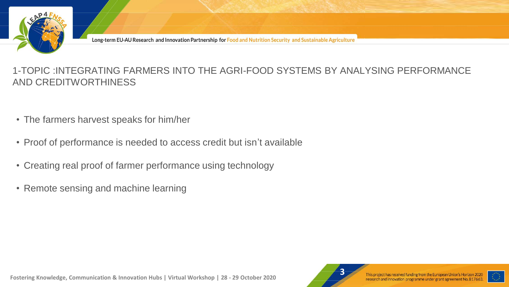

#### 1-TOPIC :INTEGRATING FARMERS INTO THE AGRI-FOOD SYSTEMS BY ANALYSING PERFORMANCE AND CREDITWORTHINESS

- The farmers harvest speaks for him/her
- Proof of performance is needed to access credit but isn't available
- Creating real proof of farmer performance using technology
- Remote sensing and machine learning

Fostering Knowledge, Communication & Innovation Hubs | Virtual Workshop | 28 - 29 October 2020<br>This project has received funding from the European Union's Horizon 2020<br>This project has received funding from the European Un



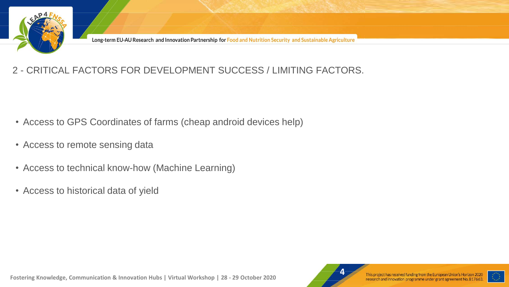

2 - CRITICAL FACTORS FOR DEVELOPMENT SUCCESS / LIMITING FACTORS.

- Access to GPS Coordinates of farms (cheap android devices help)
- Access to remote sensing data
- Access to technical know-how (Machine Learning)
- Access to historical data of yield

Fostering Knowledge, Communication & Innovation Hubs | Virtual Workshop | 28 - 29 October 2020<br>Fostering Knowledge, Communication & Innovation Hubs | Virtual Workshop | 28 - 29 October 2020



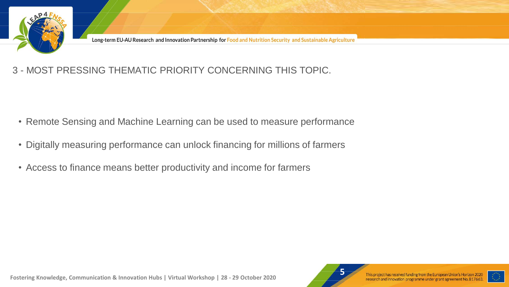

#### 3 - MOST PRESSING THEMATIC PRIORITY CONCERNING THIS TOPIC.

- Remote Sensing and Machine Learning can be used to measure performance
- Digitally measuring performance can unlock financing for millions of farmers
- Access to finance means better productivity and income for farmers



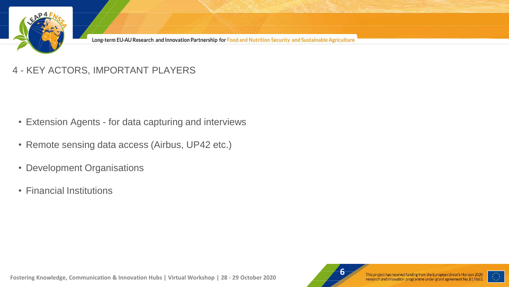

#### 4 - KEY ACTORS, IMPORTANT PLAYERS

- Extension Agents for data capturing and interviews
- Remote sensing data access (Airbus, UP42 etc.)
- Development Organisations
- Financial Institutions





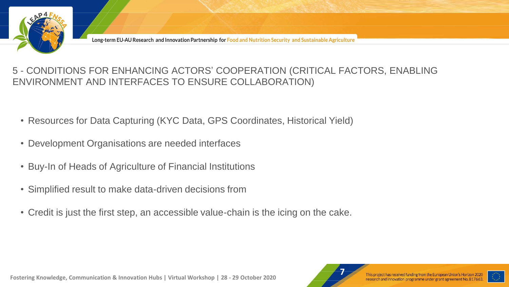

#### 5 - CONDITIONS FOR ENHANCING ACTORS' COOPERATION (CRITICAL FACTORS, ENABLING ENVIRONMENT AND INTERFACES TO ENSURE COLLABORATION)

- Resources for Data Capturing (KYC Data, GPS Coordinates, Historical Yield)
- Development Organisations are needed interfaces
- Buy-In of Heads of Agriculture of Financial Institutions
- Simplified result to make data-driven decisions from
- Credit is just the first step, an accessible value-chain is the icing on the cake.



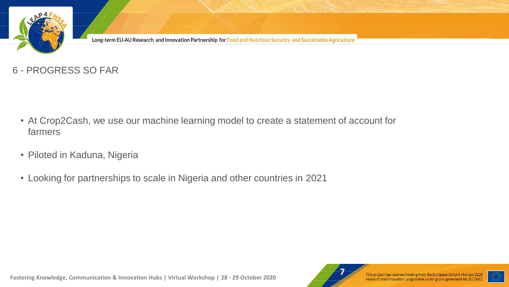

#### 6 - PROGRESS SO FAR

- At Crop2Cash, we use our machine learning model to create a statement of account for farmers
- Piloted in Kaduna, Nigeria
- Looking for partnerships to scale in Nigeria and other countries in 2021

Fostering Knowledge, Communication & Innovation Hubs | Virtual Workshop | 28 - 29 October 2020<br>Fostering Knowledge, Communication & Innovation Hubs | Virtual Workshop | 28 - 29 October 2020